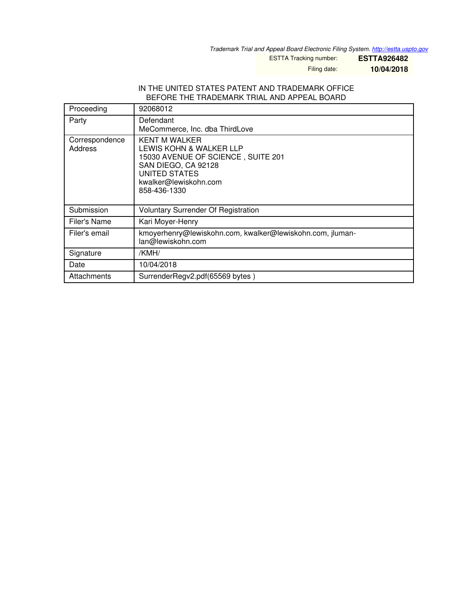*Trademark Trial and Appeal Board Electronic Filing System. <http://estta.uspto.gov>*

ESTTA Tracking number: **ESTTA926482**

Filing date: **10/04/2018**

## IN THE UNITED STATES PATENT AND TRADEMARK OFFICE BEFORE THE TRADEMARK TRIAL AND APPEAL BOARD

| Proceeding                | 92068012                                                                                                                                                               |
|---------------------------|------------------------------------------------------------------------------------------------------------------------------------------------------------------------|
| Party                     | Defendant<br>MeCommerce, Inc. dba ThirdLove                                                                                                                            |
| Correspondence<br>Address | <b>KENT M WALKER</b><br>LEWIS KOHN & WALKER LLP<br>15030 AVENUE OF SCIENCE, SUITE 201<br>SAN DIEGO, CA 92128<br>UNITED STATES<br>kwalker@lewiskohn.com<br>858-436-1330 |
| Submission                | <b>Voluntary Surrender Of Registration</b>                                                                                                                             |
| Filer's Name              | Kari Moyer-Henry                                                                                                                                                       |
| Filer's email             | kmoyerhenry@lewiskohn.com, kwalker@lewiskohn.com, jluman-<br>lan@lewiskohn.com                                                                                         |
| Signature                 | /KMH/                                                                                                                                                                  |
| Date                      | 10/04/2018                                                                                                                                                             |
| Attachments               | SurrenderRegv2.pdf(65569 bytes)                                                                                                                                        |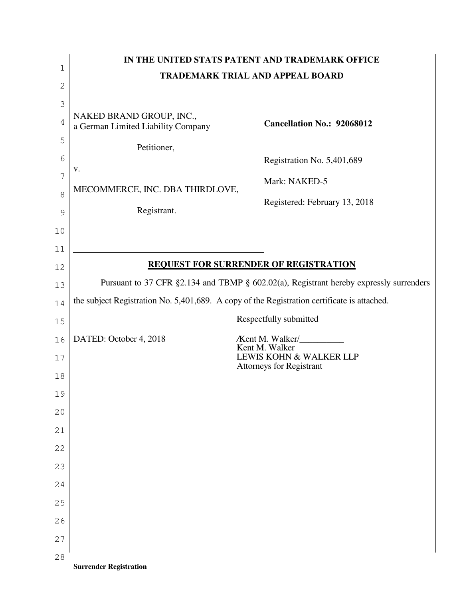|               |                                                                                                                                                                                       | IN THE UNITED STATS PATENT AND TRADEMARK OFFICE |  |  |
|---------------|---------------------------------------------------------------------------------------------------------------------------------------------------------------------------------------|-------------------------------------------------|--|--|
| 1             | <b>TRADEMARK TRIAL AND APPEAL BOARD</b>                                                                                                                                               |                                                 |  |  |
| $\mathbf{2}$  |                                                                                                                                                                                       |                                                 |  |  |
| 3             |                                                                                                                                                                                       |                                                 |  |  |
| 4             | NAKED BRAND GROUP, INC.,<br>a German Limited Liability Company                                                                                                                        | Cancellation No.: 92068012                      |  |  |
| 5             | Petitioner,                                                                                                                                                                           |                                                 |  |  |
| 6             | V.                                                                                                                                                                                    | Registration No. 5,401,689                      |  |  |
| 7             |                                                                                                                                                                                       | Mark: NAKED-5                                   |  |  |
| 8             | MECOMMERCE, INC. DBA THIRDLOVE,                                                                                                                                                       | Registered: February 13, 2018                   |  |  |
| $\mathcal{G}$ | Registrant.                                                                                                                                                                           |                                                 |  |  |
| 10            |                                                                                                                                                                                       |                                                 |  |  |
| 11            |                                                                                                                                                                                       |                                                 |  |  |
| 12            | <b>REQUEST FOR SURRENDER OF REGISTRATION</b>                                                                                                                                          |                                                 |  |  |
|               |                                                                                                                                                                                       |                                                 |  |  |
| 13            | Pursuant to 37 CFR §2.134 and TBMP § 602.02(a), Registrant hereby expressly surrenders<br>the subject Registration No. 5,401,689. A copy of the Registration certificate is attached. |                                                 |  |  |
| 14            |                                                                                                                                                                                       |                                                 |  |  |
| 15            |                                                                                                                                                                                       | Respectfully submitted                          |  |  |
| 16            | DATED: October 4, 2018                                                                                                                                                                | <b>Kent M. Walker</b><br>Kent M. Walker         |  |  |
| 17            |                                                                                                                                                                                       | LEWIS KOHN & WALKER LLP                         |  |  |
| 18            |                                                                                                                                                                                       | <b>Attorneys for Registrant</b>                 |  |  |
| 19            |                                                                                                                                                                                       |                                                 |  |  |
| 20            |                                                                                                                                                                                       |                                                 |  |  |
| 21            |                                                                                                                                                                                       |                                                 |  |  |
| 22            |                                                                                                                                                                                       |                                                 |  |  |
| 23            |                                                                                                                                                                                       |                                                 |  |  |
|               |                                                                                                                                                                                       |                                                 |  |  |
| 24            |                                                                                                                                                                                       |                                                 |  |  |
| 25            |                                                                                                                                                                                       |                                                 |  |  |
| 26            |                                                                                                                                                                                       |                                                 |  |  |
| 27            |                                                                                                                                                                                       |                                                 |  |  |
| 28            | <b>Surrender Registration</b>                                                                                                                                                         |                                                 |  |  |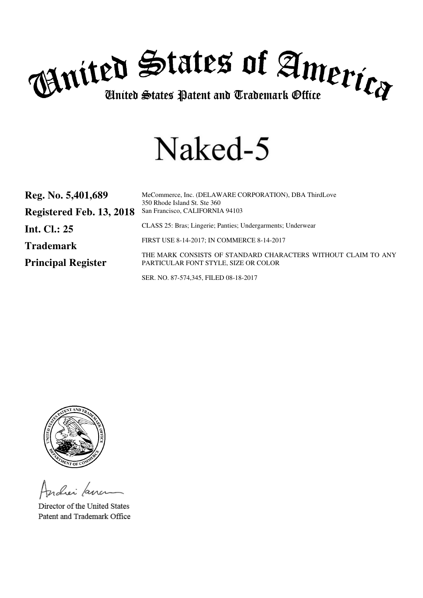

# Naked-5

| Reg. No. 5,401,689        | MeCommerce, Inc. (DELAWARE CORPORATION), DBA ThirdLove<br>350 Rhode Island St. Ste 360                |
|---------------------------|-------------------------------------------------------------------------------------------------------|
| Registered Feb. 13, 2018  | San Francisco, CALIFORNIA 94103                                                                       |
| Int. Cl.: $25$            | CLASS 25: Bras; Lingerie; Panties; Undergarments; Underwear                                           |
| <b>Trademark</b>          | FIRST USE 8-14-2017; IN COMMERCE 8-14-2017                                                            |
| <b>Principal Register</b> | THE MARK CONSISTS OF STANDARD CHARACTERS WITHOUT CLAIM TO ANY<br>PARTICULAR FONT STYLE, SIZE OR COLOR |

SER. NO. 87-574,345, FILED 08-18-2017



ndier fan

Director of the United States Patent and Trademark Office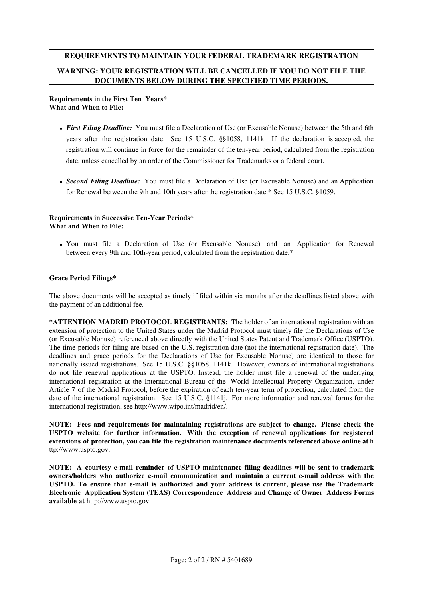# **REQUIREMENTS TO MAINTAIN YOUR FEDERAL TRADEMARK REGISTRATION WARNING: YOUR REGISTRATION WILL BE CANCELLED IF YOU DO NOT FILE THE DOCUMENTS BELOW DURING THE SPECIFIED TIME PERIODS.**

#### **Requirements in the First Ten Years\* What and When to File:**

- *First Filing Deadline:* You must file a Declaration of Use (or Excusable Nonuse) between the 5th and 6th years after the registration date. See 15 U.S.C. §§1058, 1141k. If the declaration is accepted, the registration will continue in force for the remainder of the ten-year period, calculated from the registration date, unless cancelled by an order of the Commissioner for Trademarks or a federal court.
- *Second Filing Deadline:* You must file a Declaration of Use (or Excusable Nonuse) and an Application for Renewal between the 9th and 10th years after the registration date.\* See 15 U.S.C. §1059.

#### **Requirements in Successive Ten-Year Periods\* What and When to File:**

You must file a Declaration of Use (or Excusable Nonuse) and an Application for Renewal between every 9th and 10th-year period, calculated from the registration date.\*

## **Grace Period Filings\***

The above documents will be accepted as timely if filed within six months after the deadlines listed above with the payment of an additional fee.

**\*ATTENTION MADRID PROTOCOL REGISTRANTS:** The holder of an international registration with an extension of protection to the United States under the Madrid Protocol must timely file the Declarations of Use (or Excusable Nonuse) referenced above directly with the United States Patent and Trademark Office (USPTO). The time periods for filing are based on the U.S. registration date (not the international registration date). The deadlines and grace periods for the Declarations of Use (or Excusable Nonuse) are identical to those for nationally issued registrations. See 15 U.S.C. §§1058, 1141k. However, owners of international registrations do not file renewal applications at the USPTO. Instead, the holder must file a renewal of the underlying international registration at the International Bureau of the World Intellectual Property Organization, under Article 7 of the Madrid Protocol, before the expiration of each ten-year term of protection, calculated from the date of the international registration. See 15 U.S.C. §1141j. For more information and renewal forms for the international registration, see http://www.wipo.int/madrid/en/.

**NOTE: Fees and requirements for maintaining registrations are subject to change. Please check the USPTO website for further information. With the exception of renewal applications for registered extensions of protection, you can file the registration maintenance documents referenced above online at** h ttp://www.uspto.gov.

**NOTE: A courtesy e-mail reminder of USPTO maintenance filing deadlines will be sent to trademark owners/holders who authorize e-mail communication and maintain a current e-mail address with the USPTO. To ensure that e-mail is authorized and your address is current, please use the Trademark Electronic Application System (TEAS) Correspondence Address and Change of Owner Address Forms available at** http://www.uspto.gov.